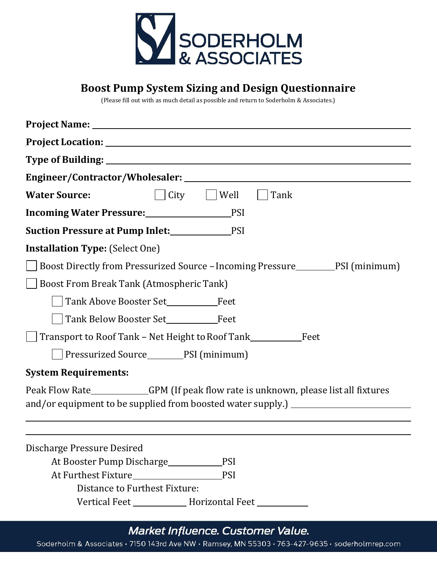

## **Boost Pump System Sizing and Design Questionnaire**

(Please fill out with as much detail as possible and return to Soderholm & Associates.)

| City<br><b>Water Source:</b><br>$\vert$ $\vert$ Well<br>Tank                                                                                                             |
|--------------------------------------------------------------------------------------------------------------------------------------------------------------------------|
| Incoming Water Pressure: PSI                                                                                                                                             |
| <b>Suction Pressure at Pump Inlet:</b> PSI                                                                                                                               |
| <b>Installation Type: (Select One)</b>                                                                                                                                   |
| Boost Directly from Pressurized Source - Incoming Pressure<br>FSI (minimum)                                                                                              |
| <b>Boost From Break Tank (Atmospheric Tank)</b>                                                                                                                          |
|                                                                                                                                                                          |
|                                                                                                                                                                          |
| Transport to Roof Tank - Net Height to Roof Tank_________________________________                                                                                        |
| Pressurized Source_________PSI (minimum)                                                                                                                                 |
| <b>System Requirements:</b>                                                                                                                                              |
| Peak Flow Rate___________GPM (If peak flow rate is unknown, please list all fixtures<br>and/or equipment to be supplied from boosted water supply.) ____________________ |
|                                                                                                                                                                          |
|                                                                                                                                                                          |
| Discharge Pressure Desired                                                                                                                                               |
| At Booster Pump Discharge<br><b>PSI</b>                                                                                                                                  |
| <b>PSI</b>                                                                                                                                                               |
| Distance to Furthest Fixture:                                                                                                                                            |

Vertical Feet \_\_\_\_\_\_\_\_\_\_\_\_\_\_\_ Horizontal Feet \_\_\_\_\_\_\_\_\_\_

## Market Influence. Customer Value.

Soderholm & Associates · 7150 143rd Ave NW · Ramsey, MN 55303 · 763-427-9635 · soderholmrep.com